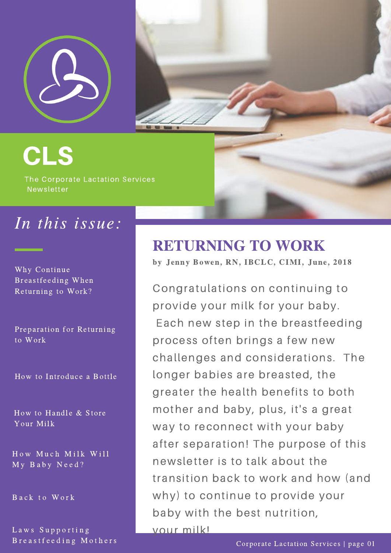

CLS

The Corporate Lactation Services Newsletter

## In this issue:

Why Continue Breastfeeding When Returning to Work?

Preparation for Returning to Work

How to Introduce a Bottle

How to Handle & Store Your Milk

How Much Milk Will My Baby Need?

Back to Work

Laws Supporting Breastfeeding Mothers

#### RETURNING TO WORK

by Jenny Bowen, RN, IBCLC, CIMI, June, 2018

Congratulations on continuing to provide your milk for your baby. Each new step in the breastfeeding process often brings a few new challenges and considerations. The longer babies are breasted, the greater the health benefits to both mother and baby, plus, it's a great way to reconnect with your baby after separation! The purpose of this newsletter is to talk about the transition back to work and how (and why) to continue to provide your baby with the best nutrition, your milk!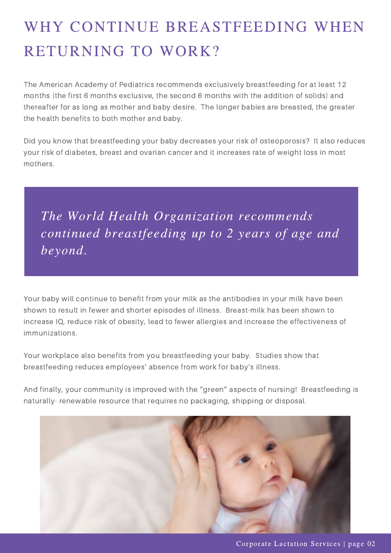# WHY CONTINUE BREASTFEEDING WHEN RETURNING TO WORK?

The American Academy of Pediatrics recommends exclusively breastfeeding for at least 12 months (the first 6 months exclusive, the second 6 months with the addition of solids) and thereafter for as long as mother and baby desire. The longer babies are breasted, the greater the health benefits to both mother and baby.

Did you know that breastfeeding your baby decreases your risk of osteoporosis? It also reduces your risk of diabetes, breast and ovarian cancer and it increases rate of weight loss in most mothers.

The World Health Organization recommends continued breastfeeding up to 2 years of age and beyond.

Your baby will continue to benefit from your milk as the antibodies in your milk have been shown to result in fewer and shorter episodes of illness. Breast-milk has been shown to increase IQ, reduce risk of obesity, lead to fewer allergies and increase the effectiveness of immunizations.

Your workplace also benefits from you breastfeeding your baby. Studies show that breastfeeding reduces employees' absence from work for baby's illness.

And finally, your community is improved with the "green" aspects of nursing! Breastfeeding is naturally- renewable resource that requires no packaging, shipping or disposal.

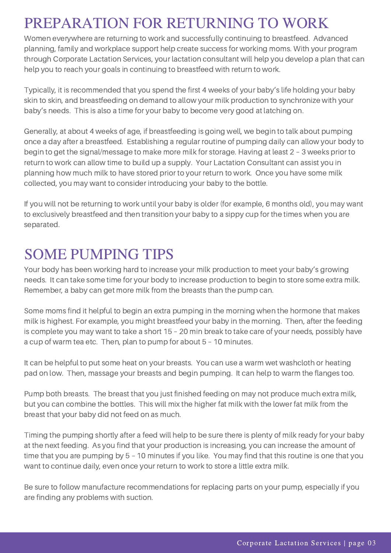#### PREPARATION FOR RETURNING TO WORK

Women everywhere are returning to work and successfully continuing to breastfeed. Advanced planning, family and workplace support help create success for working moms. With your program through Corporate Lactation Services, your lactation consultant will help you develop a plan that can help you to reach your goals in continuing to breastfeed with return to work.

Typically, it is recommended that you spend the first 4 weeks of your baby's life holding your baby skin to skin, and breastfeeding on demand to allow your milk production to synchronize with your baby's needs. This is also a time for your baby to become very good at latching on.

Generally, at about 4 weeks of age, if breastfeeding is going well, we begin to talk about pumping once a day after a breastfeed. Establishing a regular routine of pumping daily can allow your body to begin to get the [signal/message](https://ccli.org/) to make more milk for storage. Having at least 2 – 3 weeks prior to return to work can allow time to build up a supply. Your Lactation Consultant can assist you in planning how much milk to have stored prior to your return to work. Once you have some milk collected, you may want to consider introducing your baby to the bottle.

If you will not be returning to work until your baby is older (for example, 6 months old), you may want to exclusively breastfeed and then transition your baby to a sippy cup for the times when you are separated.

#### SOME PUMPING TIPS

Your body has been working hard to increase your milk production to meet your baby's growing needs. It can take some time for your body to increase production to begin to store some extra milk. Remember, a baby can get more milk from the breasts than the pump can.

Some moms find it helpful to begin an extra pumping in the morning when the hormone that makes milk is highest. For example, you might breastfeed your baby in the morning. Then, after the feeding is complete you may want to take a short 15 – 20 min break to take care of your needs, possibly have a cup of warm tea etc. Then, plan to pump for about 5 – 10 minutes.

It can be helpful to put some heat on your breasts. You can use a warm wet washcloth or heating pad on low. Then, massage your breasts and begin pumping. It can help to warm the flanges too.

Pump both breasts. The breast that you just finished feeding on may not produce much extra milk, but you can combine the bottles. This will mix the higher fat milk with the lower fat milk from the breast that your baby did not feed on as much.

Timing the pumping shortly after a feed will help to be sure there is plenty of milk ready for your baby at the next feeding. As you find that your production is increasing, you can increase the amount of time that you are pumping by 5 – 10 minutes if you like. You may find that this routine is one that you want to continue daily, even once your return to work to store a little extra milk.

Be sure to follow manufacture [recommendations](https://ccli.org/) for replacing parts on your pump, especially if you are finding any problems with suction.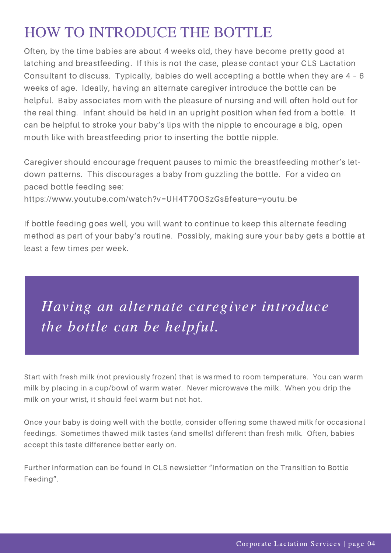## HOW TO INTRODUCE THE BOTTLE

Often, by the time babies are about 4 weeks old, they have become pretty good at latching and breastfeeding. If this is not the case, please contact your CLS Lactation Consultant to discuss. Typically, babies do well accepting a bottle when they are 4 – 6 weeks of age. Ideally, having an alternate caregiver introduce the bottle can be helpful. Baby associates mom with the pleasure of nursing and will often hold out for the real thing. Infant should be held in an upright position when fed from a bottle. It can be helpful to stroke your baby's lips with the nipple to encourage a big, open mouth like with breastfeeding prior to inserting the bottle nipple.

Caregiver should encourage frequent pauses to mimic the breastfeeding mother's letdown patterns. This discourages a baby from guzzling the bottle. For a video on paced bottle feeding see:

https://www.youtube.com/watch?v=UH4T70OSzGs&feature=youtu.be

If bottle feeding goes well, you will want to continue to keep this alternate feeding method as part of your baby's routine. Possibly, making sure your baby gets a bottle at least a few times per week.

Having an alternate caregiver introduce the bottle can be helpful.

Start with fresh milk (not previously frozen) that is warmed to room temperature. You can warm milk by placing in a cup/bowl of warm water. Never microwave the milk. When you drip the milk on your wrist, it should feel warm but not hot.

Once your baby is doing well with the bottle, consider offering some thawed milk for occasional feedings. Sometimes thawed milk tastes (and smells) different than fresh milk. Often, babies accept this taste difference better early on.

Further information can be found in CLS newsletter "Information on the Transition to Bottle Feeding".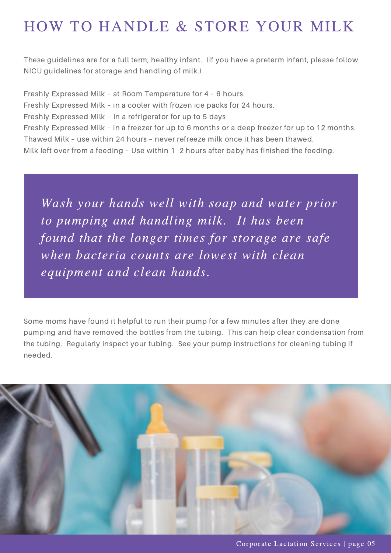## HOW TO HANDLE & STORE YOUR MILK

These guidelines are for a full term, healthy infant. (If you have a preterm infant, please follow NICU guidelines for storage and handling of milk.)

Freshly Expressed Milk – at Room Temperature for 4 – 6 hours. Freshly Expressed Milk – in a cooler with frozen ice packs for 24 hours. Freshly Expressed Milk - in a refrigerator for up to 5 days Freshly Expressed Milk – in a freezer for up to 6 months or a deep freezer for up to 12 months. Thawed Milk – use within 24 hours – never refreeze milk once it has been thawed. Milk left over from a feeding – Use within 1 -2 hours after baby has finished the feeding.

Wash your hands well with soap and water prior to pumping and handling milk. It has been found that the longer times for storage are safe when bacteria counts are lowest with clean equipment and clean hands.

Some moms have found it helpful to run their pump for a few minutes after they are done pumping and have removed the bottles from the tubing. This can help clear condensation from the tubing. Regularly inspect your tubing. See your pump instructions for cleaning tubing if needed.



Corporate Lactation Services | page 05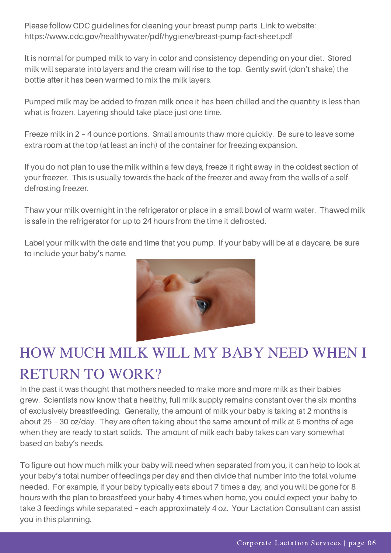Please follow CDC guidelines for cleaning your breast pump parts. Link to website: https://www.cdc.gov/healthywater/pdf/hygiene/breast-pump-fact-sheet.pdf

It is normal for pumped milk to vary in color and consistency depending on your diet. Stored milk will separate into layers and the cream will rise to the top. Gently swirl (don't shake) the bottle after it has been warmed to mix the milk layers.

Pumped milk may be added to frozen milk once it has been chilled and the quantity is less than what is frozen. Layering should take place just one time.

Freeze milk in 2 – 4 ounce portions. Small amounts thaw more quickly. Be sure to leave some extra room at the top (at least an inch) of the container for freezing expansion.

If you do not plan to use the milk within a few days, freeze it right away in the coldest section of your freezer. This is usually towards the back of the freezer and away from the walls of a selfdefrosting freezer.

Thaw your milk overnight in the refrigerator or place in a small bowl of warm water. Thawed milk is safe in the refrigerator for up to 24 hours from the time it defrosted.

Label your milk with the date and time that you pump. If your baby will be at a daycare, be sure to include your baby's name.



## HOW MUCH MILK WILL MY BABY NEED WHEN I RETURN TO WORK?

In the past it was thought that mothers needed to make more and more milk as their babies grew. Scientists now know that a healthy, full milk supply remains constant over the six months of exclusively breastfeeding. Generally, the amount of milk your baby is taking at 2 months is about 25 – 30 oz/day. They are often taking about the same amount of milk at 6 months of age when they are ready to start solids. The amount of milk each baby takes can vary somewhat based on baby's needs.

To figure out how much milk your baby will need when separated from you, it can help to look at your baby's total number of feedings per day and then divide that number into the total volume needed. For example, if your baby typically eats about 7 times a day, and you will be gone for 8 hours with the plan to breastfeed your baby 4 times when home, you could expect your baby to take 3 feedings while separated – each approximately 4 oz. Your Lactation Consultant can assist you in this planning.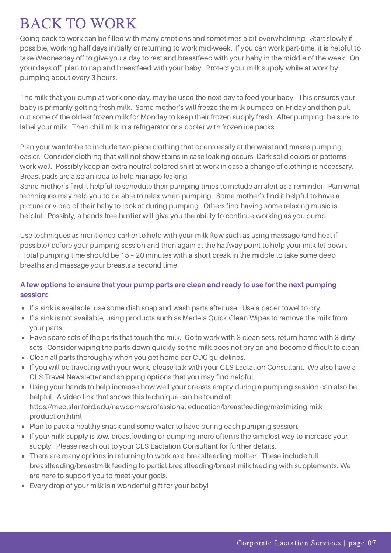## BACK TO WORK

Going back to work can be filled with many emotions and sometimes a bit overwhelming. Start slowly if possible, working half days initially or returning to work mid-week. If you can work part-time, it is helpful to take Wednesday off to give you a day to rest and breastfeed with your baby in the middle of the week. On your days off, plan to nap and breastfeed with your baby. Protect your milk supply while at work by pumping about every 3 hours.

The milk that you pump at work one day, may be used the next day to feed your baby. This ensures your baby is primarily getting fresh milk. Some mother's will freeze the milk pumped on Friday and then pull out some of the oldest frozen milk for Monday to keep their frozen supply fresh. After pumping, be sure to label your milk. Then chill milk in a refrigerator or a cooler with frozen ice packs.

Plan your wardrobe to include two-piece clothing that opens easily at the waist and makes pumping easier. Consider clothing that will not show stains in case leaking occurs. Dark solid colors or patterns work well. Possibly keep an extra neutral colored shirt at work in case a change of clothing is necessary. Breast pads are also an idea to help manage leaking.

Some mother's find it helpful to schedule their pumping times to include an alert as a reminder. Plan what techniques may help you to be able to relax when pumping. Some mother's find it helpful to have a picture or video of their baby to look at during pumping. Others find having some relaxing music is helpful. Possibly, a hands free bustier will give you the ability to continue working as you pump.

Use techniques as mentioned earlier to help with your milk flow such as using massage (and heat if possible) before your pumping session and then again at the halfway point to help your milk let down. Total pumping time should be 15 – 20 minutes with a short break in the middle to take some deep breaths and massage your breasts a second time.

#### A few options to ensure that your pump parts are clean and ready to use for the next pumping **session:**

- If a sink is available, use some dish soap and wash parts after use. Use a paper towel to dry.
- If a sink is not available, using products such as Medela Quick Clean Wipes to remove the milk from your parts.
- Have spare sets of the parts that touch the milk. Go to work with 3 clean sets, return home with 3 dirty sets. Consider wiping the parts down quickly so the milk does not dry on and become difficult to clean.
- Clean all parts thoroughly when you get home per CDC guidelines.
- If you will be traveling with your work, please talk with your CLS Lactation Consultant. We also have a CLS Travel Newsletter and shipping options that you may find helpful.
- Using your hands to help increase how well your breasts empty during a pumping session can also be helpful. A video link that shows this technique can be found at: https://med.stanford.edu/newborns/professional-education/breastfeeding/maximizing-milkproduction.html
- Plan to pack a healthy snack and some water to have during each pumping session.
- If your milk supply is low, breastfeeding or pumping more often is the simplest way to increase your supply. Please reach out to your CLS Lactation Consultant for further details.
- There are many options in returning to work as a breastfeeding mother. These include full breastfeeding/breastmilk feeding to partial breastfeeding/breast milk feeding with supplements. We are here to support you to meet your goals.
- Every drop of your milk is a wonderful gift for your baby!